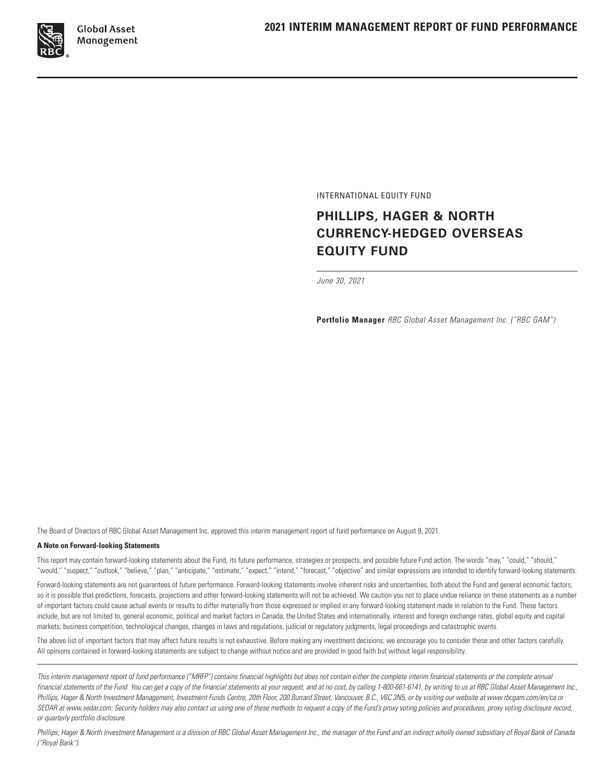

INTERNATIONAL EQUITY FUND

# **PHILLIPS, HAGER & NORTH CURRENCY-HEDGED OVERSEAS EQUITY FUND**

*June 30, 2021*

**Portfolio Manager** *RBC Global Asset Management Inc. ("RBC GAM")*

The Board of Directors of RBC Global Asset Management Inc. approved this interim management report of fund performance on August 9, 2021.

#### **A Note on Forward-looking Statements**

This report may contain forward-looking statements about the Fund, its future performance, strategies or prospects, and possible future Fund action. The words "may," "could," "should," "would," "suspect," "outlook," "believe," "plan," "anticipate," "estimate," "expect," "intend," "forecast," "objective" and similar expressions are intended to identify forward-looking statements.

Forward-looking statements are not guarantees of future performance. Forward-looking statements involve inherent risks and uncertainties, both about the Fund and general economic factors, so it is possible that predictions, forecasts, projections and other forward-looking statements will not be achieved. We caution you not to place undue reliance on these statements as a number of important factors could cause actual events or results to differ materially from those expressed or implied in any forward-looking statement made in relation to the Fund. These factors include, but are not limited to, general economic, political and market factors in Canada, the United States and internationally, interest and foreign exchange rates, global equity and capital markets, business competition, technological changes, changes in laws and regulations, judicial or regulatory judgments, legal proceedings and catastrophic events.

The above list of important factors that may affect future results is not exhaustive. Before making any investment decisions, we encourage you to consider these and other factors carefully. All opinions contained in forward-looking statements are subject to change without notice and are provided in good faith but without legal responsibility.

*This interim management report of fund performance ("MRFP") contains financial highlights but does not contain either the complete interim financial statements or the complete annual*  financial statements of the Fund. You can get a copy of the financial statements at your request, and at no cost, by calling 1-800-661-6141, by writing to us at RBC Global Asset Management Inc., Phillips, Hager & North Investment Management, Investment Funds Centre, 20th Floor, 200 Burrard Street, Vancouver, B.C., V6C 3N5, or by visiting our website at www.rbcgam.com/en/ca or *SEDAR at www.sedar.com. Security holders may also contact us using one of these methods to request a copy of the Fund's proxy voting policies and procedures, proxy voting disclosure record, or quarterly portfolio disclosure.*

Phillips, Hager & North Investment Management is a division of RBC Global Asset Management Inc., the manager of the Fund and an indirect wholly owned subsidiary of Royal Bank of Canada *("Royal Bank").*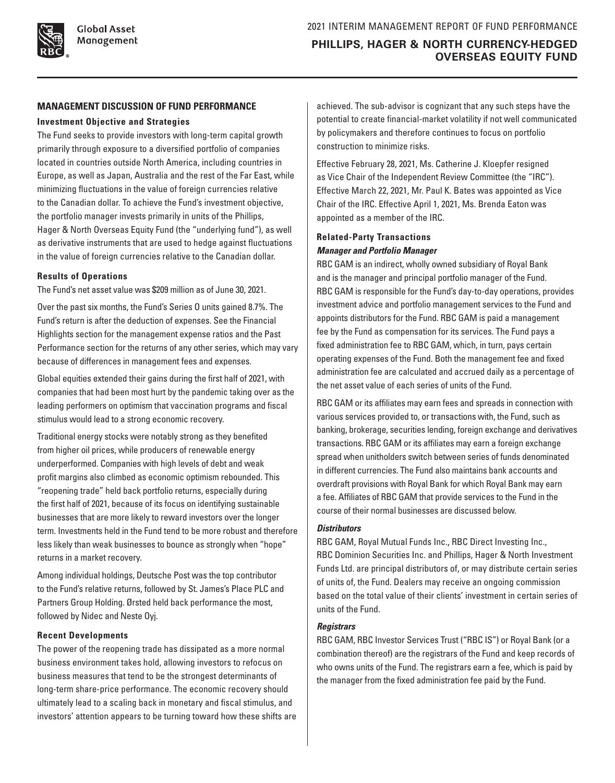### **MANAGEMENT DISCUSSION OF FUND PERFORMANCE**

### **Investment Objective and Strategies**

The Fund seeks to provide investors with long-term capital growth primarily through exposure to a diversified portfolio of companies located in countries outside North America, including countries in Europe, as well as Japan, Australia and the rest of the Far East, while minimizing fluctuations in the value of foreign currencies relative to the Canadian dollar. To achieve the Fund's investment objective, the portfolio manager invests primarily in units of the Phillips, Hager & North Overseas Equity Fund (the "underlying fund"), as well as derivative instruments that are used to hedge against fluctuations in the value of foreign currencies relative to the Canadian dollar.

### **Results of Operations**

The Fund's net asset value was \$209 million as of June 30, 2021.

Over the past six months, the Fund's Series O units gained 8.7%. The Fund's return is after the deduction of expenses. See the Financial Highlights section for the management expense ratios and the Past Performance section for the returns of any other series, which may vary because of differences in management fees and expenses.

Global equities extended their gains during the first half of 2021, with companies that had been most hurt by the pandemic taking over as the leading performers on optimism that vaccination programs and fiscal stimulus would lead to a strong economic recovery.

Traditional energy stocks were notably strong as they benefited from higher oil prices, while producers of renewable energy underperformed. Companies with high levels of debt and weak profit margins also climbed as economic optimism rebounded. This "reopening trade" held back portfolio returns, especially during the first half of 2021, because of its focus on identifying sustainable businesses that are more likely to reward investors over the longer term. Investments held in the Fund tend to be more robust and therefore less likely than weak businesses to bounce as strongly when "hope" returns in a market recovery.

Among individual holdings, Deutsche Post was the top contributor to the Fund's relative returns, followed by St. James's Place PLC and Partners Group Holding. Ørsted held back performance the most, followed by Nidec and Neste Oyj.

### **Recent Developments**

The power of the reopening trade has dissipated as a more normal business environment takes hold, allowing investors to refocus on business measures that tend to be the strongest determinants of long-term share-price performance. The economic recovery should ultimately lead to a scaling back in monetary and fiscal stimulus, and investors' attention appears to be turning toward how these shifts are achieved. The sub-advisor is cognizant that any such steps have the potential to create financial-market volatility if not well communicated by policymakers and therefore continues to focus on portfolio construction to minimize risks.

Effective February 28, 2021, Ms. Catherine J. Kloepfer resigned as Vice Chair of the Independent Review Committee (the "IRC"). Effective March 22, 2021, Mr. Paul K. Bates was appointed as Vice Chair of the IRC. Effective April 1, 2021, Ms. Brenda Eaton was appointed as a member of the IRC.

### **Related-Party Transactions** *Manager and Portfolio Manager*

RBC GAM is an indirect, wholly owned subsidiary of Royal Bank and is the manager and principal portfolio manager of the Fund. RBC GAM is responsible for the Fund's day-to-day operations, provides investment advice and portfolio management services to the Fund and appoints distributors for the Fund. RBC GAM is paid a management fee by the Fund as compensation for its services. The Fund pays a fixed administration fee to RBC GAM, which, in turn, pays certain operating expenses of the Fund. Both the management fee and fixed administration fee are calculated and accrued daily as a percentage of the net asset value of each series of units of the Fund.

RBC GAM or its affiliates may earn fees and spreads in connection with various services provided to, or transactions with, the Fund, such as banking, brokerage, securities lending, foreign exchange and derivatives transactions. RBC GAM or its affiliates may earn a foreign exchange spread when unitholders switch between series of funds denominated in different currencies. The Fund also maintains bank accounts and overdraft provisions with Royal Bank for which Royal Bank may earn a fee. Affiliates of RBC GAM that provide services to the Fund in the course of their normal businesses are discussed below.

### *Distributors*

RBC GAM, Royal Mutual Funds Inc., RBC Direct Investing Inc., RBC Dominion Securities Inc. and Phillips, Hager & North Investment Funds Ltd. are principal distributors of, or may distribute certain series of units of, the Fund. Dealers may receive an ongoing commission based on the total value of their clients' investment in certain series of units of the Fund.

### *Registrars*

RBC GAM, RBC Investor Services Trust ("RBC IS") or Royal Bank (or a combination thereof) are the registrars of the Fund and keep records of who owns units of the Fund. The registrars earn a fee, which is paid by the manager from the fixed administration fee paid by the Fund.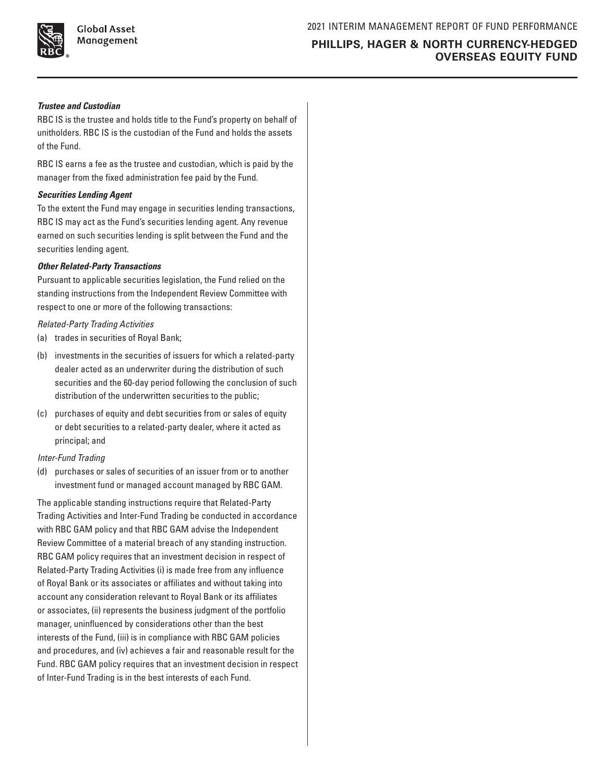

**Global Asset** Management

## **PHILLIPS, HAGER & NORTH CURRENCY-HEDGED OVERSEAS EQUITY FUND**

### *Trustee and Custodian*

RBC IS is the trustee and holds title to the Fund's property on behalf of unitholders. RBC IS is the custodian of the Fund and holds the assets of the Fund.

RBC IS earns a fee as the trustee and custodian, which is paid by the manager from the fixed administration fee paid by the Fund.

#### *Securities Lending Agent*

To the extent the Fund may engage in securities lending transactions, RBC IS may act as the Fund's securities lending agent. Any revenue earned on such securities lending is split between the Fund and the securities lending agent.

#### *Other Related-Party Transactions*

Pursuant to applicable securities legislation, the Fund relied on the standing instructions from the Independent Review Committee with respect to one or more of the following transactions:

#### *Related-Party Trading Activities*

- (a) trades in securities of Royal Bank;
- (b) investments in the securities of issuers for which a related-party dealer acted as an underwriter during the distribution of such securities and the 60-day period following the conclusion of such distribution of the underwritten securities to the public;
- (c) purchases of equity and debt securities from or sales of equity or debt securities to a related-party dealer, where it acted as principal; and

#### *Inter-Fund Trading*

(d) purchases or sales of securities of an issuer from or to another investment fund or managed account managed by RBC GAM.

The applicable standing instructions require that Related-Party Trading Activities and Inter-Fund Trading be conducted in accordance with RBC GAM policy and that RBC GAM advise the Independent Review Committee of a material breach of any standing instruction. RBC GAM policy requires that an investment decision in respect of Related-Party Trading Activities (i) is made free from any influence of Royal Bank or its associates or affiliates and without taking into account any consideration relevant to Royal Bank or its affiliates or associates, (ii) represents the business judgment of the portfolio manager, uninfluenced by considerations other than the best interests of the Fund, (iii) is in compliance with RBC GAM policies and procedures, and (iv) achieves a fair and reasonable result for the Fund. RBC GAM policy requires that an investment decision in respect of Inter-Fund Trading is in the best interests of each Fund.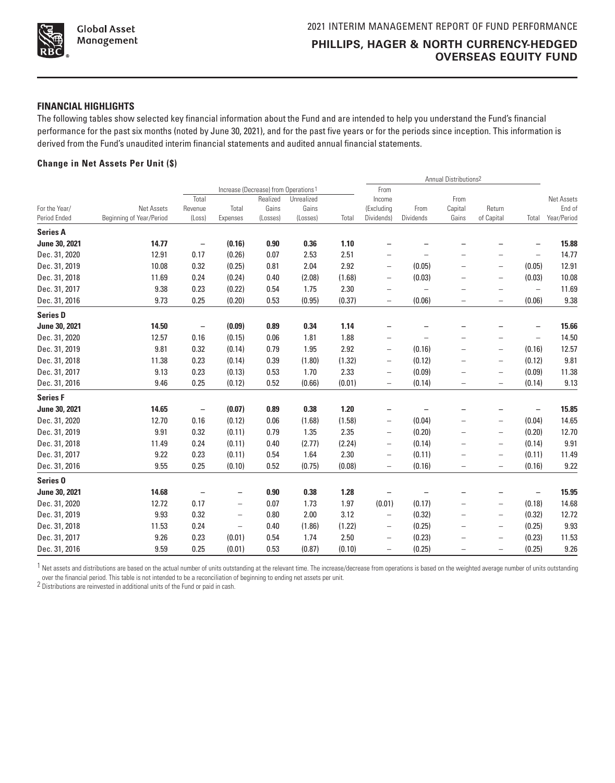

#### **FINANCIAL HIGHLIGHTS**

The following tables show selected key financial information about the Fund and are intended to help you understand the Fund's financial performance for the past six months (noted by June 30, 2021), and for the past five years or for the periods since inception. This information is derived from the Fund's unaudited interim financial statements and audited annual financial statements.

#### **Change in Net Assets Per Unit (\$)**

|                     |                          |                          |                          |                                                              |            |        | Annual Distributions <sup>2</sup> |                          |                          |                          |                   |             |
|---------------------|--------------------------|--------------------------|--------------------------|--------------------------------------------------------------|------------|--------|-----------------------------------|--------------------------|--------------------------|--------------------------|-------------------|-------------|
|                     |                          | Total                    |                          | Increase (Decrease) from Operations <sup>1</sup><br>Realized | Unrealized |        | From<br>Income                    |                          | From                     |                          |                   | Net Assets  |
| For the Year/       | Net Assets               | Revenue                  | Total                    | Gains                                                        | Gains      |        | (Excluding                        | From                     | Capital                  | Return                   |                   | End of      |
| Period Ended        | Beginning of Year/Period | (Loss)                   | Expenses                 | (Losses)                                                     | (Losses)   | Total  | Dividends)                        | Dividends                | Gains                    | of Capital               | Total             | Year/Period |
| <b>Series A</b>     |                          |                          |                          |                                                              |            |        |                                   |                          |                          |                          |                   |             |
| June 30, 2021       | 14.77                    | $\overline{\phantom{a}}$ | (0.16)                   | 0.90                                                         | 0.36       | 1.10   |                                   |                          |                          |                          |                   | 15.88       |
| Dec. 31, 2020       | 12.91                    | 0.17                     | (0.26)                   | 0.07                                                         | 2.53       | 2.51   | $\overline{a}$                    |                          |                          | $\overline{\phantom{0}}$ | $\qquad \qquad -$ | 14.77       |
| Dec. 31, 2019       | 10.08                    | 0.32                     | (0.25)                   | 0.81                                                         | 2.04       | 2.92   | $\overline{\phantom{0}}$          | (0.05)                   | $\overline{\phantom{0}}$ | $\overline{\phantom{0}}$ | (0.05)            | 12.91       |
| Dec. 31, 2018       | 11.69                    | 0.24                     | (0.24)                   | 0.40                                                         | (2.08)     | (1.68) | $\overline{\phantom{0}}$          | (0.03)                   |                          | $\overline{\phantom{0}}$ | (0.03)            | 10.08       |
| Dec. 31, 2017       | 9.38                     | 0.23                     | (0.22)                   | 0.54                                                         | 1.75       | 2.30   | $\overline{a}$                    | $\overline{\phantom{0}}$ |                          |                          | $\qquad \qquad -$ | 11.69       |
| Dec. 31, 2016       | 9.73                     | 0.25                     | (0.20)                   | 0.53                                                         | (0.95)     | (0.37) | $\qquad \qquad -$                 | (0.06)                   | $\overline{\phantom{0}}$ | $\qquad \qquad -$        | (0.06)            | 9.38        |
| <b>Series D</b>     |                          |                          |                          |                                                              |            |        |                                   |                          |                          |                          |                   |             |
| June 30, 2021       | 14.50                    | $\qquad \qquad -$        | (0.09)                   | 0.89                                                         | 0.34       | 1.14   |                                   |                          |                          |                          |                   | 15.66       |
| Dec. 31, 2020       | 12.57                    | 0.16                     | (0.15)                   | 0.06                                                         | 1.81       | 1.88   | $\overline{a}$                    |                          |                          |                          | $\qquad \qquad -$ | 14.50       |
| Dec. 31, 2019       | 9.81                     | 0.32                     | (0.14)                   | 0.79                                                         | 1.95       | 2.92   | $\overline{\phantom{0}}$          | (0.16)                   | $\overline{\phantom{0}}$ | $\overline{\phantom{0}}$ | (0.16)            | 12.57       |
| Dec. 31, 2018       | 11.38                    | 0.23                     | (0.14)                   | 0.39                                                         | (1.80)     | (1.32) | $\overline{\phantom{0}}$          | (0.12)                   |                          | $\qquad \qquad -$        | (0.12)            | 9.81        |
| Dec. 31, 2017       | 9.13                     | 0.23                     | (0.13)                   | 0.53                                                         | 1.70       | 2.33   | $\overline{\phantom{0}}$          | (0.09)                   |                          | $\qquad \qquad -$        | (0.09)            | 11.38       |
| Dec. 31, 2016       | 9.46                     | 0.25                     | (0.12)                   | 0.52                                                         | (0.66)     | (0.01) | $\overline{\phantom{0}}$          | (0.14)                   | $\overline{\phantom{0}}$ | $\qquad \qquad -$        | (0.14)            | 9.13        |
| <b>Series F</b>     |                          |                          |                          |                                                              |            |        |                                   |                          |                          |                          |                   |             |
| June 30, 2021       | 14.65                    | $\qquad \qquad -$        | (0.07)                   | 0.89                                                         | 0.38       | 1.20   | -                                 |                          |                          |                          | -                 | 15.85       |
| Dec. 31, 2020       | 12.70                    | 0.16                     | (0.12)                   | 0.06                                                         | (1.68)     | (1.58) | -                                 | (0.04)                   |                          | $\qquad \qquad -$        | (0.04)            | 14.65       |
| Dec. 31, 2019       | 9.91                     | 0.32                     | (0.11)                   | 0.79                                                         | 1.35       | 2.35   | $\overline{\phantom{0}}$          | (0.20)                   |                          | $\qquad \qquad -$        | (0.20)            | 12.70       |
| Dec. 31, 2018       | 11.49                    | 0.24                     | (0.11)                   | 0.40                                                         | (2.77)     | (2.24) | -                                 | (0.14)                   |                          | $\overline{\phantom{0}}$ | (0.14)            | 9.91        |
| Dec. 31, 2017       | 9.22                     | 0.23                     | (0.11)                   | 0.54                                                         | 1.64       | 2.30   | $\overline{\phantom{0}}$          | (0.11)                   |                          | $\qquad \qquad -$        | (0.11)            | 11.49       |
| Dec. 31, 2016       | 9.55                     | 0.25                     | (0.10)                   | 0.52                                                         | (0.75)     | (0.08) | $\overline{\phantom{0}}$          | (0.16)                   |                          | $\qquad \qquad -$        | (0.16)            | 9.22        |
| Series <sub>0</sub> |                          |                          |                          |                                                              |            |        |                                   |                          |                          |                          |                   |             |
| June 30, 2021       | 14.68                    |                          |                          | 0.90                                                         | 0.38       | 1.28   |                                   |                          |                          |                          |                   | 15.95       |
| Dec. 31, 2020       | 12.72                    | 0.17                     | $\overline{\phantom{0}}$ | 0.07                                                         | 1.73       | 1.97   | (0.01)                            | (0.17)                   |                          | -                        | (0.18)            | 14.68       |
| Dec. 31, 2019       | 9.93                     | 0.32                     | $\overline{\phantom{m}}$ | 0.80                                                         | 2.00       | 3.12   | $\qquad \qquad -$                 | (0.32)                   | -                        | $\overline{\phantom{m}}$ | (0.32)            | 12.72       |
| Dec. 31, 2018       | 11.53                    | 0.24                     | $\overline{\phantom{m}}$ | 0.40                                                         | (1.86)     | (1.22) | $\qquad \qquad -$                 | (0.25)                   |                          | $\qquad \qquad -$        | (0.25)            | 9.93        |
| Dec. 31, 2017       | 9.26                     | 0.23                     | (0.01)                   | 0.54                                                         | 1.74       | 2.50   | $\qquad \qquad -$                 | (0.23)                   |                          | $\overline{\phantom{0}}$ | (0.23)            | 11.53       |
| Dec. 31, 2016       | 9.59                     | 0.25                     | (0.01)                   | 0.53                                                         | (0.87)     | (0.10) | $\overline{\phantom{0}}$          | (0.25)                   |                          | $\overline{\phantom{0}}$ | (0.25)            | 9.26        |

 $1$  Net assets and distributions are based on the actual number of units outstanding at the relevant time. The increase/decrease from operations is based on the weighted average number of units outstanding

over the financial period. This table is not intended to be a reconciliation of beginning to ending net assets per unit.

2 Distributions are reinvested in additional units of the Fund or paid in cash.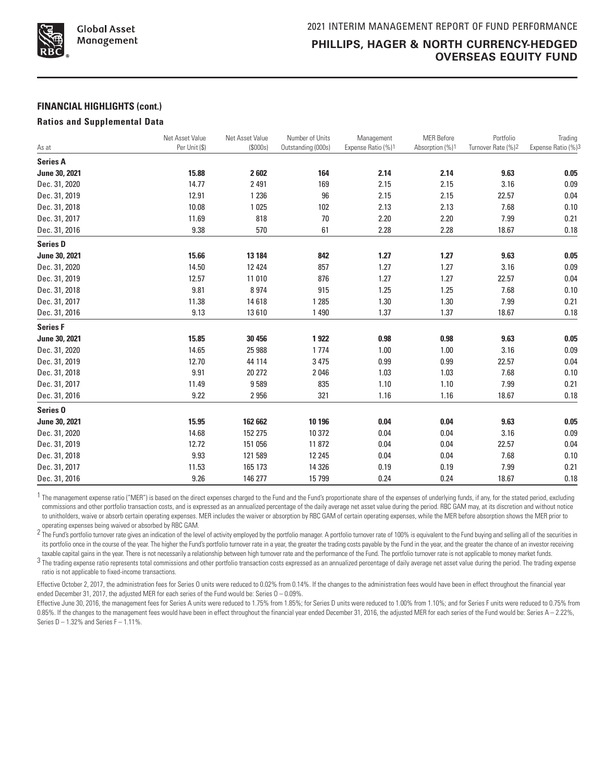

#### **FINANCIAL HIGHLIGHTS (cont.)**

#### **Ratios and Supplemental Data**

| As at               | Net Asset Value<br>Per Unit (\$) | Net Asset Value<br>(\$000s) | Number of Units<br>Outstanding (000s) | Management<br>Expense Ratio (%)1 | <b>MER Before</b><br>Absorption (%)1 | Portfolio<br>Turnover Rate (%)2 | Trading<br>Expense Ratio (%)3 |
|---------------------|----------------------------------|-----------------------------|---------------------------------------|----------------------------------|--------------------------------------|---------------------------------|-------------------------------|
|                     |                                  |                             |                                       |                                  |                                      |                                 |                               |
| <b>Series A</b>     |                                  |                             |                                       |                                  |                                      |                                 |                               |
| June 30, 2021       | 15.88                            | 2602                        | 164                                   | 2.14                             | 2.14                                 | 9.63                            | 0.05                          |
| Dec. 31, 2020       | 14.77                            | 2 4 9 1                     | 169                                   | 2.15                             | 2.15                                 | 3.16                            | 0.09                          |
| Dec. 31, 2019       | 12.91                            | 1 2 3 6                     | 96                                    | 2.15                             | 2.15                                 | 22.57                           | 0.04                          |
| Dec. 31, 2018       | 10.08                            | 1025                        | 102                                   | 2.13                             | 2.13                                 | 7.68                            | 0.10                          |
| Dec. 31, 2017       | 11.69                            | 818                         | 70                                    | 2.20                             | 2.20                                 | 7.99                            | 0.21                          |
| Dec. 31, 2016       | 9.38                             | 570                         | 61                                    | 2.28                             | 2.28                                 | 18.67                           | 0.18                          |
| <b>Series D</b>     |                                  |                             |                                       |                                  |                                      |                                 |                               |
| June 30, 2021       | 15.66                            | 13 184                      | 842                                   | 1.27                             | 1.27                                 | 9.63                            | 0.05                          |
| Dec. 31, 2020       | 14.50                            | 12 4 24                     | 857                                   | 1.27                             | 1.27                                 | 3.16                            | 0.09                          |
| Dec. 31, 2019       | 12.57                            | 11 010                      | 876                                   | 1.27                             | 1.27                                 | 22.57                           | 0.04                          |
| Dec. 31, 2018       | 9.81                             | 8974                        | 915                                   | 1.25                             | 1.25                                 | 7.68                            | 0.10                          |
| Dec. 31, 2017       | 11.38                            | 14618                       | 1 2 8 5                               | 1.30                             | 1.30                                 | 7.99                            | 0.21                          |
| Dec. 31, 2016       | 9.13                             | 13610                       | 1490                                  | 1.37                             | 1.37                                 | 18.67                           | 0.18                          |
| <b>Series F</b>     |                                  |                             |                                       |                                  |                                      |                                 |                               |
| June 30, 2021       | 15.85                            | 30 456                      | 1922                                  | 0.98                             | 0.98                                 | 9.63                            | 0.05                          |
| Dec. 31, 2020       | 14.65                            | 25 988                      | 1774                                  | 1.00                             | 1.00                                 | 3.16                            | 0.09                          |
| Dec. 31, 2019       | 12.70                            | 44 114                      | 3 4 7 5                               | 0.99                             | 0.99                                 | 22.57                           | 0.04                          |
| Dec. 31, 2018       | 9.91                             | 20 27 2                     | 2046                                  | 1.03                             | 1.03                                 | 7.68                            | 0.10                          |
| Dec. 31, 2017       | 11.49                            | 9589                        | 835                                   | 1.10                             | 1.10                                 | 7.99                            | 0.21                          |
| Dec. 31, 2016       | 9.22                             | 2956                        | 321                                   | 1.16                             | 1.16                                 | 18.67                           | 0.18                          |
| Series <sub>0</sub> |                                  |                             |                                       |                                  |                                      |                                 |                               |
| June 30, 2021       | 15.95                            | 162 662                     | 10 196                                | 0.04                             | 0.04                                 | 9.63                            | 0.05                          |
| Dec. 31, 2020       | 14.68                            | 152 275                     | 10 372                                | 0.04                             | 0.04                                 | 3.16                            | 0.09                          |
| Dec. 31, 2019       | 12.72                            | 151 056                     | 11872                                 | 0.04                             | 0.04                                 | 22.57                           | 0.04                          |
| Dec. 31, 2018       | 9.93                             | 121 589                     | 12 245                                | 0.04                             | 0.04                                 | 7.68                            | 0.10                          |
| Dec. 31, 2017       | 11.53                            | 165 173                     | 14 3 26                               | 0.19                             | 0.19                                 | 7.99                            | 0.21                          |
| Dec. 31, 2016       | 9.26                             | 146 277                     | 15799                                 | 0.24                             | 0.24                                 | 18.67                           | 0.18                          |

1 The management expense ratio ("MER") is based on the direct expenses charged to the Fund and the Fund's proportionate share of the expenses of underlying funds, if any, for the stated period, excluding commissions and other portfolio transaction costs, and is expressed as an annualized percentage of the daily average net asset value during the period. RBC GAM may, at its discretion and without notice to unitholders, waive or absorb certain operating expenses. MER includes the waiver or absorption by RBC GAM of certain operating expenses, while the MER before absorption shows the MER prior to operating expenses being waived or absorbed by RBC GAM.

2 The Fund's portfolio turnover rate gives an indication of the level of activity employed by the portfolio manager. A portfolio turnover rate of 100% is equivalent to the Fund buying and selling all of the securities in its portfolio once in the course of the year. The higher the Fund's portfolio turnover rate in a year, the greater the trading costs payable by the Fund in the year, and the greater the chance of an investor receiving taxable capital gains in the year. There is not necessarily a relationship between high turnover rate and the performance of the Fund. The portfolio turnover rate is not applicable to money market funds.

 $3$  The trading expense ratio represents total commissions and other portfolio transaction costs expressed as an annualized percentage of daily average net asset value during the period. The trading expense ratio is not applicable to fixed-income transactions.

Effective October 2, 2017, the administration fees for Series O units were reduced to 0.02% from 0.14%. If the changes to the administration fees would have been in effect throughout the financial year ended December 31, 2017, the adjusted MER for each series of the Fund would be: Series  $0 - 0.09\%$ .

Effective June 30, 2016, the management fees for Series A units were reduced to 1.75% from 1.85%; for Series D units were reduced to 1.00% from 1.10%; and for Series F units were reduced to 0.75% from 0.85%. If the changes to the management fees would have been in effect throughout the financial year ended December 31, 2016, the adjusted MER for each series of the Fund would be: Series A – 2.22%, Series  $D - 1.32\%$  and Series  $F - 1.11\%$ .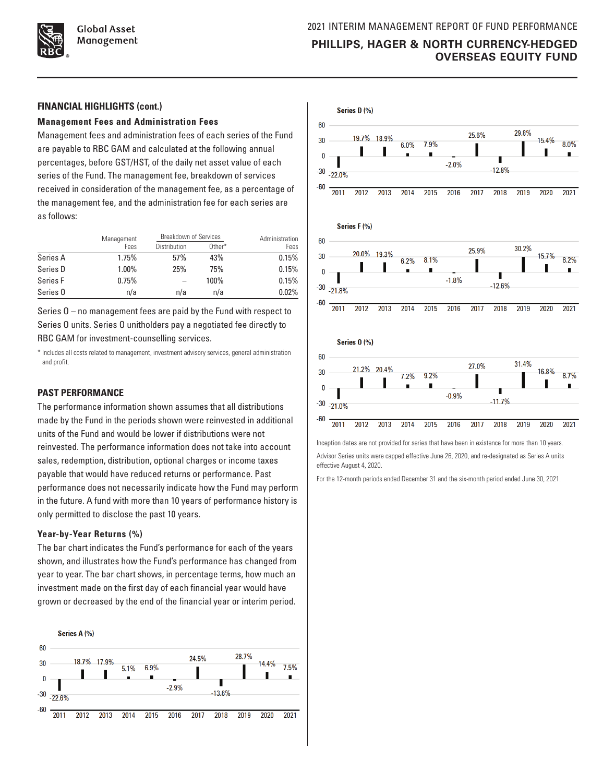

#### **FINANCIAL HIGHLIGHTS (cont.)**

#### **Management Fees and Administration Fees**

Management fees and administration fees of each series of the Fund are payable to RBC GAM and calculated at the following annual percentages, before GST/HST, of the daily net asset value of each series of the Fund. The management fee, breakdown of services received in consideration of the management fee, as a percentage of the management fee, and the administration fee for each series are as follows:

|          | Management | <b>Breakdown of Services</b> | Administration |       |
|----------|------------|------------------------------|----------------|-------|
|          | Fees       | <b>Distribution</b>          | Other*         | Fees  |
| Series A | 1.75%      | 57%                          | 43%            | 0.15% |
| Series D | 1.00%      | 25%                          | 75%            | 0.15% |
| Series F | 0.75%      |                              | 100%           | 0.15% |
| Series 0 | n/a        | n/a                          | n/a            | 0.02% |

Series O – no management fees are paid by the Fund with respect to Series O units. Series O unitholders pay a negotiated fee directly to RBC GAM for investment-counselling services.

\* Includes all costs related to management, investment advisory services, general administration and profit.

### **PAST PERFORMANCE**

The performance information shown assumes that all distributions made by the Fund in the periods shown were reinvested in additional units of the Fund and would be lower if distributions were not reinvested. The performance information does not take into account sales, redemption, distribution, optional charges or income taxes payable that would have reduced returns or performance. Past performance does not necessarily indicate how the Fund may perform in the future. A fund with more than 10 years of performance history is only permitted to disclose the past 10 years.

#### **Year-by-Year Returns (%)**

The bar chart indicates the Fund's performance for each of the years shown, and illustrates how the Fund's performance has changed from year to year. The bar chart shows, in percentage terms, how much an investment made on the first day of each financial year would have grown or decreased by the end of the financial year or interim period.





 $\frac{1}{2011}$  $\frac{1}{2012}$ 2013 2014  $\frac{2015}{ }$  $2016$  $\overline{2017}$ 2018 2019 2020 2021

Inception dates are not provided for series that have been in existence for more than 10 years. Advisor Series units were capped effective June 26, 2020, and re-designated as Series A units effective August 4, 2020.

For the 12-month periods ended December 31 and the six-month period ended June 30, 2021.